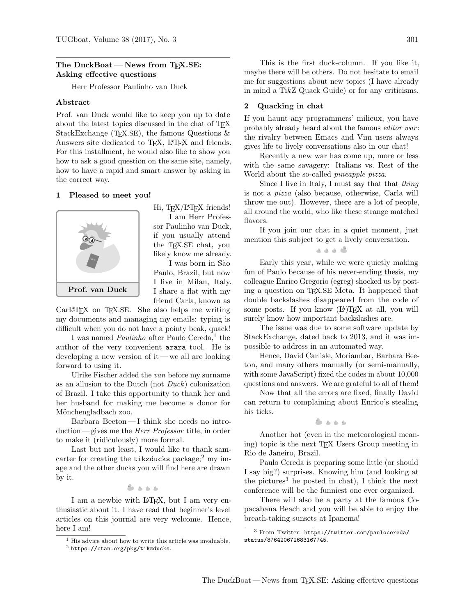# The DuckBoat — News from TEX.SE: Asking effective questions

Herr Professor Paulinho van Duck

## Abstract

Prof. van Duck would like to keep you up to date about the latest topics discussed in the chat of TEX StackExchange (T<sub>E</sub>X.SE), the famous Questions  $\&$ Answers site dedicated to T<sub>EX</sub>, L<sup>AT</sup>EX and friends. For this installment, he would also like to show you how to ask a good question on the same site, namely, how to have a rapid and smart answer by asking in the correct way.

#### 1 Pleased to meet you!



Hi, TEX/L<sup>AT</sup>EX friends! I am Herr Profes-

sor Paulinho van Duck, if you usually attend the TEX.SE chat, you likely know me already.

I was born in S˜ao Paulo, Brazil, but now I live in Milan, Italy. I share a flat with my friend Carla, known as

CarLAT<sub>EX</sub> on T<sub>EX</sub>.SE. She also helps me writing my documents and managing my emails: typing is difficult when you do not have a pointy beak, quack!

I was named *Paulinho* after Paulo Cereda,<sup>[1](#page-0-0)</sup> the author of the very convenient arara tool. He is developing a new version of it— we all are looking forward to using it.

Ulrike Fischer added the van before my surname as an allusion to the Dutch (not Duck) colonization of Brazil. I take this opportunity to thank her and her husband for making me become a donor for Mönchengladbach zoo.

Barbara Beeton— I think she needs no introduction — gives me the Herr Professor title, in order to make it (ridiculously) more formal.

Last but not least, I would like to thank samcarter for creating the **tikzducks** package;<sup>[2](#page-0-1)</sup> my image and the other ducks you will find here are drawn by it.

 $8.888$ 

I am a newbie with LAT<sub>F</sub>X, but I am very enthusiastic about it. I have read that beginner's level articles on this journal are very welcome. Hence, here I am!

This is the first duck-column. If you like it, maybe there will be others. Do not hesitate to email me for suggestions about new topics (I have already in mind a TikZ Quack Guide) or for any criticisms.

#### 2 Quacking in chat

If you haunt any programmers' milieux, you have probably already heard about the famous *editor war*: the rivalry between Emacs and Vim users always gives life to lively conversations also in our chat!

Recently a new war has come up, more or less with the same savagery: Italians vs. Rest of the World about the so-called *pineapple pizza*.

Since I live in Italy, I must say that that thing is not a pizza (also because, otherwise, Carla will throw me out). However, there are a lot of people, all around the world, who like these strange matched flavors.

If you join our chat in a quiet moment, just mention this subject to get a lively conversation.

$$
\bullet\text{ } \bullet\text{ } \bullet\text{ } \bullet
$$

Early this year, while we were quietly making fun of Paulo because of his never-ending thesis, my colleague Enrico Gregorio (egreg) shocked us by posting a question on TEX.SE Meta. It happened that double backslashes disappeared from the code of some posts. If you know  $(\mathbb{A})$ T<sub>F</sub>X at all, you will surely know how important backslashes are.

The issue was due to some software update by StackExchange, dated back to 2013, and it was impossible to address in an automated way.

Hence, David Carlisle, Moriambar, Barbara Beeton, and many others manually (or semi-manually, with some JavaScript) fixed the codes in about 10,000 questions and answers. We are grateful to all of them!

Now that all the errors are fixed, finally David can return to complaining about Enrico's stealing his ticks.

 $A = A$ 

Another hot (even in the meteorological meaning) topic is the next TEX Users Group meeting in Rio de Janeiro, Brazil.

Paulo Cereda is preparing some little (or should I say big?) surprises. Knowing him (and looking at the pictures<sup>[3](#page-0-2)</sup> he posted in chat), I think the next conference will be the funniest one ever organized.

There will also be a party at the famous Copacabana Beach and you will be able to enjoy the breath-taking sunsets at Ipanema!

<span id="page-0-0"></span><sup>1</sup> His advice about how to write this article was invaluable.

<span id="page-0-1"></span> $^2$ <https://ctan.org/pkg/tikzducks>.

<span id="page-0-2"></span><sup>3</sup> From Twitter: [https://twitter.com/paulocereda/](https://twitter.com/paulocereda/status/876420672683167745) [status/876420672683167745](https://twitter.com/paulocereda/status/876420672683167745).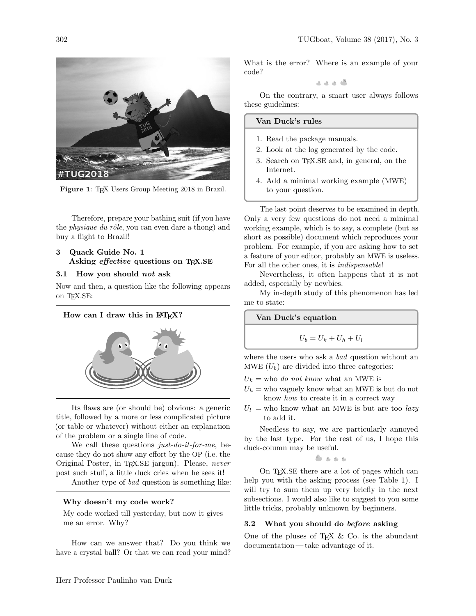

Figure 1: TEX Users Group Meeting 2018 in Brazil.

Therefore, prepare your bathing suit (if you have the *physique du rôle*, you can even dare a thong) and buy a flight to Brazil!

# 3 Quack Guide No. 1 Asking *effective* questions on T<sub>E</sub>X.SE

# 3.1 How you should not ask

Now and then, a question like the following appears on T<sub>E</sub>X.SE:



Its flaws are (or should be) obvious: a generic title, followed by a more or less complicated picture (or table or whatever) without either an explanation of the problem or a single line of code.

We call these questions just-do-it-for-me, because they do not show any effort by the OP (i.e. the Original Poster, in TEX.SE jargon). Please, never post such stuff, a little duck cries when he sees it!

Another type of bad question is something like:

# Why doesn't my code work?

My code worked till yesterday, but now it gives me an error. Why?

How can we answer that? Do you think we have a crystal ball? Or that we can read your mind? What is the error? Where is an example of your code?

0 د ه ه

On the contrary, a smart user always follows these guidelines:

#### Van Duck's rules

- 1. Read the package manuals.
- 2. Look at the log generated by the code.
- 3. Search on T<sub>EX</sub>.SE and, in general, on the Internet.
- 4. Add a minimal working example (MWE) to your question.

The last point deserves to be examined in depth. Only a very few questions do not need a minimal working example, which is to say, a complete (but as short as possible) document which reproduces your problem. For example, if you are asking how to set a feature of your editor, probably an MWE is useless. For all the other ones, it is indispensable!

Nevertheless, it often happens that it is not added, especially by newbies.

My in-depth study of this phenomenon has led me to state:

Van Duck's equation

$$
U_b = U_k + U_h + U_l
$$

where the users who ask a *bad* question without an MWE  $(U_b)$  are divided into three categories:

- $U_k$  = who *do not know* what an MWE is
- $U_h$  = who vaguely know what an MWE is but do not know how to create it in a correct way
- $U_l$  = who know what an MWE is but are too lazy to add it.

Needless to say, we are particularly annoyed by the last type. For the rest of us, I hope this duck-column may be useful.

$$
c_1, c_2, c_3
$$

On TEX.SE there are a lot of pages which can help you with the asking process (see Table [1\)](#page-2-0). I will try to sum them up very briefly in the next subsections. I would also like to suggest to you some little tricks, probably unknown by beginners.

#### 3.2 What you should do before asking

One of the pluses of T<sub>EX</sub>  $\&$  Co. is the abundant documentation — take advantage of it.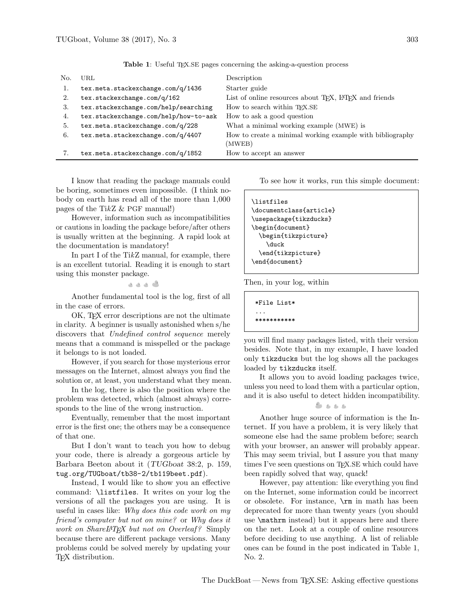<span id="page-2-2"></span><span id="page-2-1"></span><span id="page-2-0"></span>

| No. | URL.                                  | Description                                                         |
|-----|---------------------------------------|---------------------------------------------------------------------|
| 1.  | tex.meta.stackexchange.com/q/1436     | Starter guide                                                       |
| 2.  | tex.stackexchange.com/q/162           | List of online resources about TFX, L <sup>A</sup> TFX and friends  |
| 3.  | tex.stackexchange.com/help/searching  | How to search within T <sub>F</sub> X.SE                            |
| 4.  | tex.stackexchange.com/help/how-to-ask | How to ask a good question                                          |
| 5.  | tex.meta.stackexchange.com/q/228      | What a minimal working example (MWE) is                             |
| 6.  | tex.meta.stackexchange.com/q/4407     | How to create a minimal working example with bibliography<br>(MWEB) |
|     | tex.meta.stackexchange.com/q/1852     | How to accept an answer                                             |

Table 1: Useful TEX.SE pages concerning the asking-a-question process

<span id="page-2-5"></span><span id="page-2-4"></span><span id="page-2-3"></span>I know that reading the package manuals could be boring, sometimes even impossible. (I think nobody on earth has read all of the more than 1,000 pages of the TikZ  $&$  PGF manual!)

However, information such as incompatibilities or cautions in loading the package before/after others is usually written at the beginning. A rapid look at the documentation is mandatory!

In part I of the TikZ manual, for example, there is an excellent tutorial. Reading it is enough to start using this monster package.

گ د د د

Another fundamental tool is the log, first of all in the case of errors.

OK, TEX error descriptions are not the ultimate in clarity. A beginner is usually astonished when s/he discovers that Undefined control sequence merely means that a command is misspelled or the package it belongs to is not loaded.

However, if you search for those mysterious error messages on the Internet, almost always you find the solution or, at least, you understand what they mean.

In the log, there is also the position where the problem was detected, which (almost always) corresponds to the line of the wrong instruction.

Eventually, remember that the most important error is the first one; the others may be a consequence of that one.

But I don't want to teach you how to debug your code, there is already a gorgeous article by Barbara Beeton about it (TUGboat 38:2, p. 159, <tug.org/TUGboat/tb38-2/tb119beet.pdf>).

Instead, I would like to show you an effective command: \listfiles. It writes on your log the versions of all the packages you are using. It is useful in cases like: Why does this code work on my friend's computer but not on mine? or Why does it work on ShareL<sup>AT</sup>FX but not on Overleaf? Simply because there are different package versions. Many problems could be solved merely by updating your TEX distribution.

To see how it works, run this simple document:

```
\listfiles
\documentclass{article}
\usepackage{tikzducks}
\begin{document}
  \begin{tikzpicture}
    \duck
  \end{tikzpicture}
\end{document}
```
Then, in your log, within

\*File List\* ... \*\*\*\*\*\*\*\*\*\*\*

you will find many packages listed, with their version besides. Note that, in my example, I have loaded only tikzducks but the log shows all the packages loaded by tikzducks itself.

It allows you to avoid loading packages twice, unless you need to load them with a particular option, and it is also useful to detect hidden incompatibility.

 $8.5.5.6$ 

Another huge source of information is the Internet. If you have a problem, it is very likely that someone else had the same problem before; search with your browser, an answer will probably appear. This may seem trivial, but I assure you that many times I've seen questions on TEX.SE which could have been rapidly solved that way, quack!

However, pay attention: like everything you find on the Internet, some information could be incorrect or obsolete. For instance, \rm in math has been deprecated for more than twenty years (you should use \mathrm instead) but it appears here and there on the net. Look at a couple of online resources before deciding to use anything. A list of reliable ones can be found in the post indicated in Table [1,](#page-2-0) No. [2.](#page-2-1)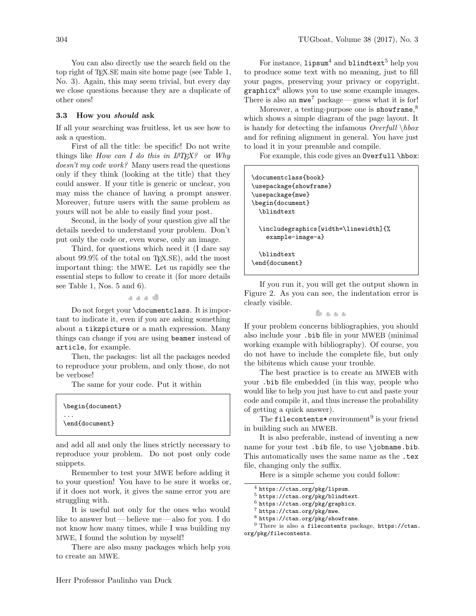You can also directly use the search field on the top right of TEX.SE main site home page (see Table [1,](#page-2-0) No. [3\)](#page-2-2). Again, this may seem trivial, but every day we close questions because they are a duplicate of other ones!

#### 3.3 How you should ask

If all your searching was fruitless, let us see how to ask a question.

First of all the title: be specific! Do not write things like How can I do this in  $\mu^2 \to Y$  or Why doesn't my code work? Many users read the questions only if they think (looking at the title) that they could answer. If your title is generic or unclear, you may miss the chance of having a prompt answer. Moreover, future users with the same problem as yours will not be able to easily find your post.

Second, in the body of your question give all the details needed to understand your problem. Don't put only the code or, even worse, only an image.

Third, for questions which need it (I dare say about  $99.9\%$  of the total on T<sub>EX</sub>.SE, add the most important thing: the MWE. Let us rapidly see the essential steps to follow to create it (for more details see Table [1,](#page-2-0) Nos. [5](#page-2-3) and [6\)](#page-2-4).

. . . .

Do not forget your \documentclass. It is important to indicate it, even if you are asking something about a tikzpicture or a math expression. Many things can change if you are using beamer instead of article, for example.

Then, the packages: list all the packages needed to reproduce your problem, and only those, do not be verbose!

The same for your code. Put it within

| \begin{document}           |  |  |
|----------------------------|--|--|
| $\cdots$<br>\end{document} |  |  |

and add all and only the lines strictly necessary to reproduce your problem. Do not post only code snippets.

Remember to test your MWE before adding it to your question! You have to be sure it works or, if it does not work, it gives the same error you are struggling with.

It is useful not only for the ones who would like to answer but — believe me — also for you. I do not know how many times, while I was building my MWE, I found the solution by myself!

There are also many packages which help you to create an MWE.

For instance,  $\text{Lipsum}^4$  $\text{Lipsum}^4$  and  $\text{blinetext}^5$  $\text{blinetext}^5$  help you to produce some text with no meaning, just to fill your pages, preserving your privacy or copyright. graphic $x^6$  $x^6$  allows you to use some example images. There is also an  $mwe^7$  $mwe^7$  package — guess what it is for!

Moreover, a testing-purpose one is showframe,<sup>[8](#page-3-4)</sup> which shows a simple diagram of the page layout. It is handy for detecting the infamous  $\text{Overfull }\& \text{hbox}$ and for refining alignment in general. You have just to load it in your preamble and compile.

For example, this code gives an Overfull \hbox:

| \documentclass{book}<br>\usepackage{showframe}<br>\usepackage{mwe}<br>\begin{document}<br>\blindtext |
|------------------------------------------------------------------------------------------------------|
| \includegraphics[width=\linewidth]{%<br>$example$ -image-a $\}$                                      |
| \blindtext<br>\end{document}                                                                         |

If you run it, you will get the output shown in Figure [2.](#page-4-0) As you can see, the indentation error is clearly visible.

5555

If your problem concerns bibliographies, you should also include your .bib file in your MWEB (minimal working example with bibliography). Of course, you do not have to include the complete file, but only the bibitems which cause your trouble.

The best practice is to create an MWEB with your .bib file embedded (in this way, people who would like to help you just have to cut and paste your code and compile it, and thus increase the probability of getting a quick answer).

The filecontents\* environment<sup>[9](#page-3-5)</sup> is your friend in building such an MWEB.

It is also preferable, instead of inventing a new name for your test. bib file, to use \jobname.bib. This automatically uses the same name as the .tex file, changing only the suffix.

Here is a simple scheme you could follow:

<span id="page-3-1"></span><sup>5</sup> <https://ctan.org/pkg/blindtext>.

<span id="page-3-2"></span> $^6$  <https://ctan.org/pkg/graphicx>.

<span id="page-3-3"></span><sup>7</sup> <https://ctan.org/pkg/mwe>.

<span id="page-3-0"></span> $^4$ <https://ctan.org/pkg/lipsum>.

<span id="page-3-5"></span><span id="page-3-4"></span><sup>8</sup> <https://ctan.org/pkg/showframe>.

<sup>9</sup> There is also a filecontents package, [https://ctan.](https://ctan.org/pkg/filecontents) [org/pkg/filecontents](https://ctan.org/pkg/filecontents).